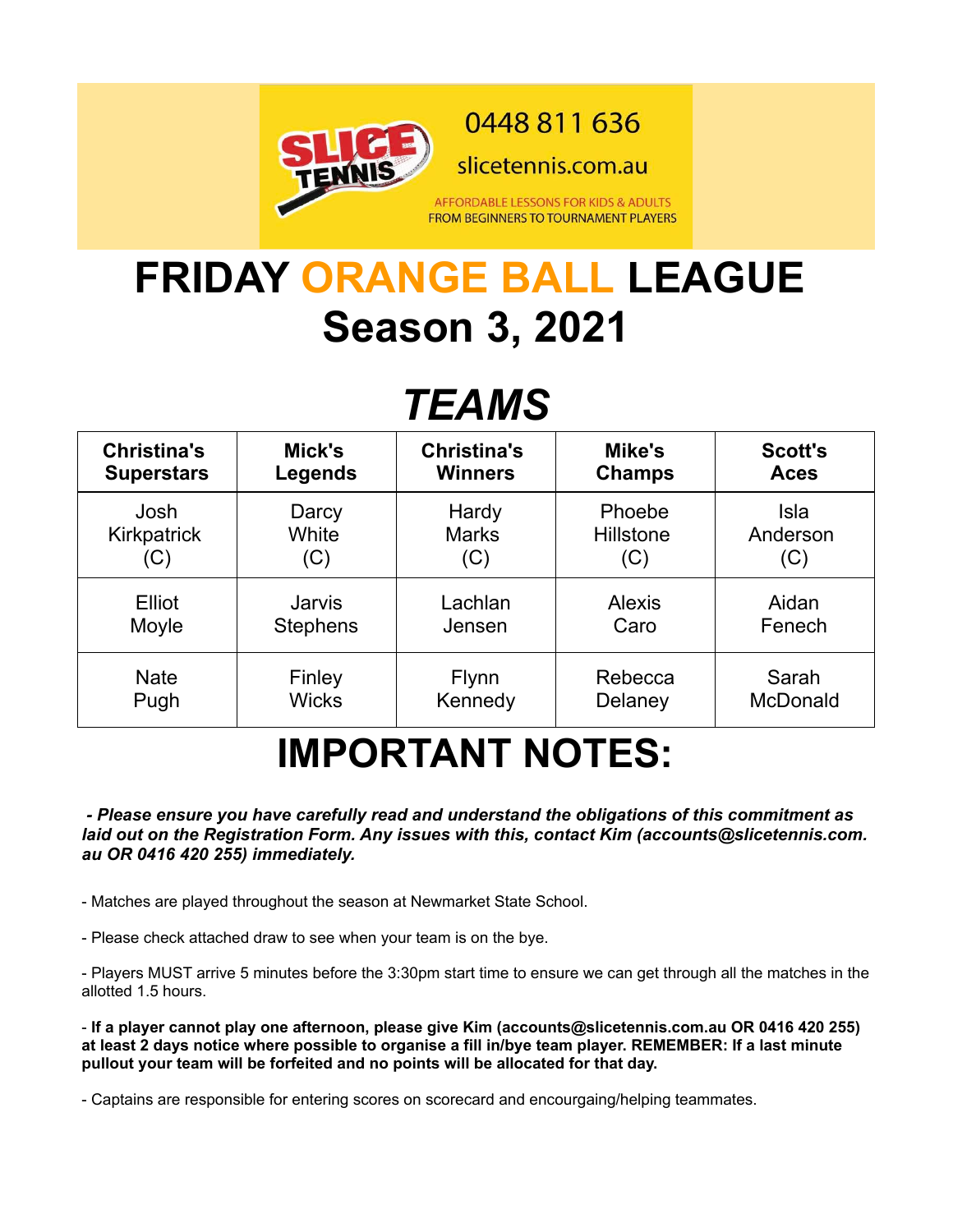

0448 811 636

slicetennis.com.au

AFFORDABLE LESSONS FOR KIDS & ADULTS **FROM BEGINNERS TO TOURNAMENT PLAYERS** 

## **FRIDAY ORANGE BALL LEAGUE Season 3, 2021**

## *TEAMS*

| <b>Christina's</b> | Mick's          | <b>Christina's</b> | Mike's        | <b>Scott's</b>  |
|--------------------|-----------------|--------------------|---------------|-----------------|
| <b>Superstars</b>  | <b>Legends</b>  | <b>Winners</b>     | <b>Champs</b> | <b>Aces</b>     |
| Josh               | Darcy           | Hardy              | Phoebe        | <b>Isla</b>     |
| <b>Kirkpatrick</b> | White           | <b>Marks</b>       | Hillstone     | Anderson        |
| (C)                | (C)             | (C)                | (C)           | (C)             |
| Elliot             | <b>Jarvis</b>   | Lachlan            | <b>Alexis</b> | Aidan           |
| Moyle              | <b>Stephens</b> | Jensen             | Caro          | Fenech          |
| <b>Nate</b>        | Finley          | <b>Flynn</b>       | Rebecca       | Sarah           |
| Pugh               | <b>Wicks</b>    | Kennedy            | Delaney       | <b>McDonald</b> |

## **IMPORTANT NOTES:**

 *- Please ensure you have carefully read and understand the obligations of this commitment as laid out on the Registration Form. Any issues with this, contact Kim (accounts@slicetennis.com. au OR 0416 420 255) immediately.*

- Matches are played throughout the season at Newmarket State School.

- Please check attached draw to see when your team is on the bye.

- Players MUST arrive 5 minutes before the 3:30pm start time to ensure we can get through all the matches in the allotted 1.5 hours.

- **If a player cannot play one afternoon, please give Kim (accounts@slicetennis.com.au OR 0416 420 255) at least 2 days notice where possible to organise a fill in/bye team player. REMEMBER: If a last minute pullout your team will be forfeited and no points will be allocated for that day.**

- Captains are responsible for entering scores on scorecard and encourgaing/helping teammates.